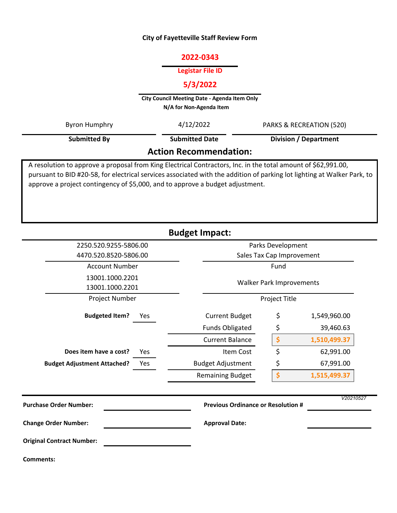### **City of Fayetteville Staff Review Form**

# **2022-0343**

#### **Legistar File ID**

# **5/3/2022**

**City Council Meeting Date - Agenda Item Only N/A for Non-Agenda Item** 

| Byron Humphry                 | 4/12/2022             | PARKS & RECREATION (520)     |  |  |  |  |
|-------------------------------|-----------------------|------------------------------|--|--|--|--|
| Submitted By                  | <b>Submitted Date</b> | <b>Division / Department</b> |  |  |  |  |
| <b>Action Recommendation:</b> |                       |                              |  |  |  |  |

A resolution to approve a proposal from King Electrical Contractors, Inc. in the total amount of \$62,991.00, pursuant to BID #20-58, for electrical services associated with the addition of parking lot lighting at Walker Park, to approve a project contingency of \$5,000, and to approve a budget adjustment.

| <b>Budget Impact:</b>                          |                                           |                                                |              |  |  |  |
|------------------------------------------------|-------------------------------------------|------------------------------------------------|--------------|--|--|--|
| 2250.520.9255-5806.00<br>4470.520.8520-5806.00 |                                           | Parks Development<br>Sales Tax Cap Improvement |              |  |  |  |
| <b>Account Number</b>                          |                                           | Fund                                           |              |  |  |  |
| 13001.1000.2201<br>13001.1000.2201             |                                           | <b>Walker Park Improvements</b>                |              |  |  |  |
| <b>Project Number</b>                          |                                           | Project Title                                  |              |  |  |  |
| <b>Budgeted Item?</b><br>Yes                   | <b>Current Budget</b>                     | \$                                             | 1,549,960.00 |  |  |  |
|                                                | <b>Funds Obligated</b>                    | \$                                             | 39,460.63    |  |  |  |
|                                                | <b>Current Balance</b>                    | \$                                             | 1,510,499.37 |  |  |  |
| Does item have a cost?<br>Yes                  | Item Cost                                 | \$                                             | 62,991.00    |  |  |  |
| <b>Budget Adjustment Attached?</b><br>Yes      | <b>Budget Adjustment</b>                  | \$                                             | 67,991.00    |  |  |  |
|                                                | <b>Remaining Budget</b>                   | \$                                             | 1,515,499.37 |  |  |  |
| <b>Purchase Order Number:</b>                  | <b>Previous Ordinance or Resolution #</b> |                                                | V20210527    |  |  |  |
| <b>Change Order Number:</b>                    | <b>Approval Date:</b>                     |                                                |              |  |  |  |
| <b>Original Contract Number:</b>               |                                           |                                                |              |  |  |  |
| <b>Comments:</b>                               |                                           |                                                |              |  |  |  |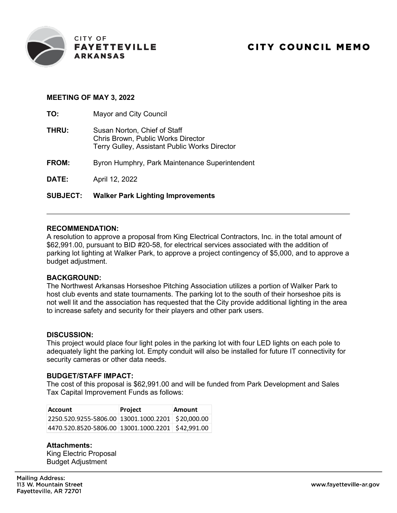

# **MEETING OF MAY 3, 2022**

**TO:** Mayor and City Council **THRU:** Susan Norton, Chief of Staff Chris Brown, Public Works Director Terry Gulley, Assistant Public Works Director **FROM:** Byron Humphry, Park Maintenance Superintendent **DATE:** April 12, 2022 **SUBJECT: Walker Park Lighting Improvements**

### **RECOMMENDATION:**

A resolution to approve a proposal from King Electrical Contractors, Inc. in the total amount of \$62,991.00, pursuant to BID #20-58, for electrical services associated with the addition of parking lot lighting at Walker Park, to approve a project contingency of \$5,000, and to approve a budget adjustment.

# **BACKGROUND:**

The Northwest Arkansas Horseshoe Pitching Association utilizes a portion of Walker Park to host club events and state tournaments. The parking lot to the south of their horseshoe pits is not well lit and the association has requested that the City provide additional lighting in the area to increase safety and security for their players and other park users.

### **DISCUSSION:**

This project would place four light poles in the parking lot with four LED lights on each pole to adequately light the parking lot. Empty conduit will also be installed for future IT connectivity for security cameras or other data needs.

### **BUDGET/STAFF IMPACT:**

The cost of this proposal is \$62,991.00 and will be funded from Park Development and Sales Tax Capital Improvement Funds as follows:

| <b>Account</b>                                    | Project | Amount |
|---------------------------------------------------|---------|--------|
| 2250.520.9255-5806.00 13001.1000.2201 \$20,000.00 |         |        |
| 4470.520.8520-5806.00 13001.1000.2201 \$42,991.00 |         |        |

**Attachments:** King Electric Proposal Budget Adjustment